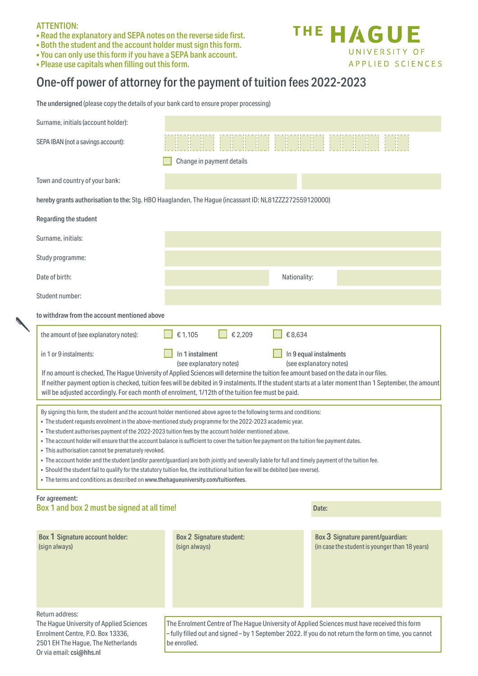## ATTENTION:

Or via email: csi@hhs.nl

- Read the explanatory and SEPA notes on the reverse side first.
- Both the student and the account holder must sign this form.
- You can only use this form if you have a SEPA bank account.
- Please use capitals when filling out this form.

# One-off power of attorney for the payment of tuition fees 2022-2023

| The undersigned (please copy the details of your bank card to ensure proper processing)                                                                                                                                                                                                                                                                                                                                                                                                                                                                                                                                                                                                                                                                                                                                                                                                                                          |                                                                                                                                                                                                                        |                                                                                    |
|----------------------------------------------------------------------------------------------------------------------------------------------------------------------------------------------------------------------------------------------------------------------------------------------------------------------------------------------------------------------------------------------------------------------------------------------------------------------------------------------------------------------------------------------------------------------------------------------------------------------------------------------------------------------------------------------------------------------------------------------------------------------------------------------------------------------------------------------------------------------------------------------------------------------------------|------------------------------------------------------------------------------------------------------------------------------------------------------------------------------------------------------------------------|------------------------------------------------------------------------------------|
| Surname, initials (account holder):                                                                                                                                                                                                                                                                                                                                                                                                                                                                                                                                                                                                                                                                                                                                                                                                                                                                                              |                                                                                                                                                                                                                        |                                                                                    |
| SEPA IBAN (not a savings account):                                                                                                                                                                                                                                                                                                                                                                                                                                                                                                                                                                                                                                                                                                                                                                                                                                                                                               | Change in payment details                                                                                                                                                                                              |                                                                                    |
| Town and country of your bank:                                                                                                                                                                                                                                                                                                                                                                                                                                                                                                                                                                                                                                                                                                                                                                                                                                                                                                   |                                                                                                                                                                                                                        |                                                                                    |
| hereby grants authorisation to the: Stg. HBO Haaglanden, The Hague (incassant ID: NL81ZZZ272559120000)                                                                                                                                                                                                                                                                                                                                                                                                                                                                                                                                                                                                                                                                                                                                                                                                                           |                                                                                                                                                                                                                        |                                                                                    |
| Regarding the student                                                                                                                                                                                                                                                                                                                                                                                                                                                                                                                                                                                                                                                                                                                                                                                                                                                                                                            |                                                                                                                                                                                                                        |                                                                                    |
| Surname, initials:                                                                                                                                                                                                                                                                                                                                                                                                                                                                                                                                                                                                                                                                                                                                                                                                                                                                                                               |                                                                                                                                                                                                                        |                                                                                    |
| Study programme:                                                                                                                                                                                                                                                                                                                                                                                                                                                                                                                                                                                                                                                                                                                                                                                                                                                                                                                 |                                                                                                                                                                                                                        |                                                                                    |
| Date of birth:                                                                                                                                                                                                                                                                                                                                                                                                                                                                                                                                                                                                                                                                                                                                                                                                                                                                                                                   | Nationality:                                                                                                                                                                                                           |                                                                                    |
| Student number:                                                                                                                                                                                                                                                                                                                                                                                                                                                                                                                                                                                                                                                                                                                                                                                                                                                                                                                  |                                                                                                                                                                                                                        |                                                                                    |
| to withdraw from the account mentioned above                                                                                                                                                                                                                                                                                                                                                                                                                                                                                                                                                                                                                                                                                                                                                                                                                                                                                     |                                                                                                                                                                                                                        |                                                                                    |
| the amount of (see explanatory notes):                                                                                                                                                                                                                                                                                                                                                                                                                                                                                                                                                                                                                                                                                                                                                                                                                                                                                           | €2,209<br>€8,634<br>€1,105                                                                                                                                                                                             |                                                                                    |
| in 1 or 9 instalments:                                                                                                                                                                                                                                                                                                                                                                                                                                                                                                                                                                                                                                                                                                                                                                                                                                                                                                           | In 1 instalment<br>In 9 equal instalments<br>(see explanatory notes)<br>(see explanatory notes)                                                                                                                        |                                                                                    |
| If no amount is checked, The Hague University of Applied Sciences will determine the tuition fee amount based on the data in our files.<br>If neither payment option is checked, tuition fees will be debited in 9 instalments. If the student starts at a later moment than 1 September, the amount<br>will be adjusted accordingly. For each month of enrolment, 1/12th of the tuition fee must be paid.                                                                                                                                                                                                                                                                                                                                                                                                                                                                                                                       |                                                                                                                                                                                                                        |                                                                                    |
| By signing this form, the student and the account holder mentioned above agree to the following terms and conditions:<br>. The student requests enrolment in the above-mentioned study programme for the 2022-2023 academic year.<br>. The student authorises payment of the 2022-2023 tuition fees by the account holder mentioned above.<br>. The account holder will ensure that the account balance is sufficient to cover the tuition fee payment on the tuition fee payment dates.<br>• This authorisation cannot be prematurely revoked.<br>. The account holder and the student (and/or parent/guardian) are both jointly and severally liable for full and timely payment of the tuition fee.<br>. Should the student fail to qualify for the statutory tuition fee, the institutional tuition fee will be debited (see reverse).<br>• The terms and conditions as described on www.thehagueuniversity.com/tuitionfees. |                                                                                                                                                                                                                        |                                                                                    |
| For agreement:<br>Box 1 and box 2 must be signed at all time!                                                                                                                                                                                                                                                                                                                                                                                                                                                                                                                                                                                                                                                                                                                                                                                                                                                                    |                                                                                                                                                                                                                        | Date:                                                                              |
| Box 1 Signature account holder:<br>(sign always)                                                                                                                                                                                                                                                                                                                                                                                                                                                                                                                                                                                                                                                                                                                                                                                                                                                                                 | <b>Box 2 Signature student:</b><br>(sign always)                                                                                                                                                                       | Box 3 Signature parent/guardian:<br>(in case the student is younger than 18 years) |
| Return address:<br>The Hague University of Applied Sciences<br>Enrolment Centre, P.O. Box 13336,<br>2501 EH The Hague, The Netherlands                                                                                                                                                                                                                                                                                                                                                                                                                                                                                                                                                                                                                                                                                                                                                                                           | The Enrolment Centre of The Hague University of Applied Sciences must have received this form<br>-fully filled out and signed - by 1 September 2022. If you do not return the form on time, you cannot<br>be enrolled. |                                                                                    |